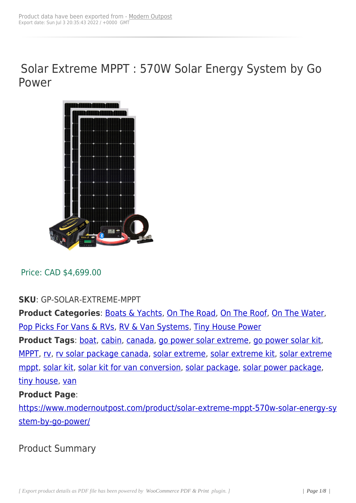# Solar Extreme MPPT : 570W Solar Energy System by Go Power



#### Price: CAD \$4,699.00

#### **SKU**: GP-SOLAR-EXTREME-MPPT

**Product Categories: Boats & Yachts, On The Road, On The Roof, On The Water,** Pop Picks For Vans & RVs, RV & Van Systems, Tiny House Power **Product Tags**: boat, [cabin, canada, g](https://www.modernoutpost.com/product-category/on-the-water/solar-for-boats-and-yachts/)[o power solar](https://www.modernoutpost.com/product-category/on-the-road/) [extreme, go p](https://www.modernoutpost.com/product-category/on-the-roof/)[ower solar kit,](https://www.modernoutpost.com/product-category/on-the-water/) 

[MPPT, rv, rv solar package](https://www.modernoutpost.com/product-category/on-the-road/pop-picks-for-van-rv/) [canada, solar extr](https://www.modernoutpost.com/product-category/on-the-road/rv-solar-power-canada/)[eme, solar extreme](https://www.modernoutpost.com/product-category/on-the-roof/tiny-house-power-systems/) kit, solar extreme mppt, solar kit, [solar](https://www.modernoutpost.com/product-tag/boat/) [kit for](https://www.modernoutpost.com/product-tag/cabin/) [van conv](https://www.modernoutpost.com/product-tag/canada/)[ersion, solar package, so](https://www.modernoutpost.com/product-tag/go-power-solar-extreme/)[lar power package](https://www.modernoutpost.com/product-tag/go-power-solar-kit/), [tiny h](https://www.modernoutpost.com/product-tag/mppt/)[ous](https://www.modernoutpost.com/product-tag/rv/)[e, van](https://www.modernoutpost.com/product-tag/rv-solar-package-canada/)

#### **[Prod](https://www.modernoutpost.com/product-tag/solar-extreme-mppt/)[uct Page](https://www.modernoutpost.com/product-tag/solar-kit/)**:

[https://ww](https://www.modernoutpost.com/product-tag/tiny-house/)[w.mo](https://www.modernoutpost.com/product-tag/van/)dernoutpost.com/product/solar-extreme-mppt-570w-solar-energy-sy stem-by-go-power/

#### [Product Summar](https://www.modernoutpost.com/product/solar-extreme-mppt-570w-solar-energy-system-by-go-power/)y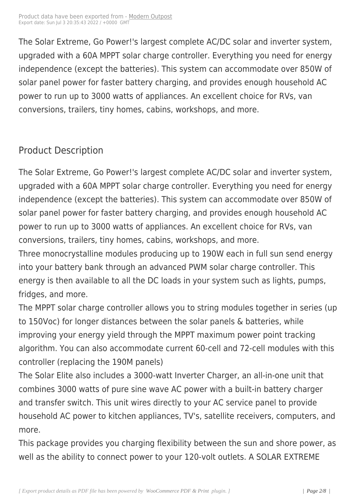The Solar Extreme, Go Powe[r!](https://www.modernoutpost.com/?post_type=product&p=19792)'[s largest c](https://www.modernoutpost.com/?post_type=product&p=19792)omplete AC/DC solar and inverter system, upgraded with a 60A MPPT solar charge controller. Everything you need for energy independence (except the batteries). This system can accommodate over 850W of solar panel power for faster battery charging, and provides enough household AC power to run up to 3000 watts of appliances. An excellent choice for RVs, van conversions, trailers, tiny homes, cabins, workshops, and more.

### Product Description

The Solar Extreme, Go Power!'s largest complete AC/DC solar and inverter system, upgraded with a 60A MPPT solar charge controller. Everything you need for energy independence (except the batteries). This system can accommodate over 850W of solar panel power for faster battery charging, and provides enough household AC power to run up to 3000 watts of appliances. An excellent choice for RVs, van conversions, trailers, tiny homes, cabins, workshops, and more.

Three monocrystalline modules producing up to 190W each in full sun send energy into your battery bank through an advanced PWM solar charge controller. This energy is then available to all the DC loads in your system such as lights, pumps, fridges, and more.

The MPPT solar charge controller allows you to string modules together in series (up to 150Voc) for longer distances between the solar panels & batteries, while improving your energy yield through the MPPT maximum power point tracking algorithm. You can also accommodate current 60-cell and 72-cell modules with this controller (replacing the 190M panels)

The Solar Elite also includes a 3000-watt Inverter Charger, an all-in-one unit that combines 3000 watts of pure sine wave AC power with a built-in battery charger and transfer switch. This unit wires directly to your AC service panel to provide household AC power to kitchen appliances, TV's, satellite receivers, computers, and more.

This package provides you charging flexibility between the sun and shore power, as well as the ability to connect power to your 120-volt outlets. A SOLAR EXTREME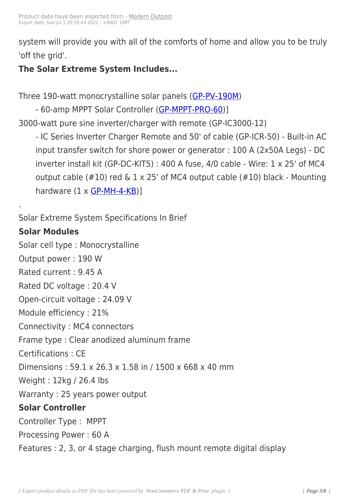system will provide you with [all of the co](https://www.modernoutpost.com/?post_type=product&p=19792)mforts of home and allow you to be truly 'off the grid'.

#### **The Solar Extreme System Includes...**

Three 190-watt monocrystalline solar panels (GP-PV-190M)

- 60-amp MPPT Solar Controller (GP-MPPT-PRO-60)]

3000-watt pure sine inverter/charger with re[mote \(GP-IC30](https://www.modernoutpost.com/product/gp-pv-190m-190w-monocrystalline-solar-module-by-go-power/)00-12)

- IC Series Inverter Charger Rem[ote and 50' of cab](https://www.modernoutpost.com/product/gp-mppt-pro-60-60a-mppt-solar-charge-controller-by-go-power/)le (GP-ICR-50) - Built-in AC input transfer switch for shore power or generator : 100 A (2x50A Legs) - DC inverter install kit (GP-DC-KIT5) : 400 A fuse, 4/0 cable - Wire: 1 x 25' of MC4 output cable  $(\#10)$  red & 1 x 25' of MC4 output cable  $(\#10)$  black - Mounting hardware  $(1 \times GP-MH-4-KB)$ ]

Solar Extreme Syst[em Specifica](https://www.modernoutpost.com/product/gp-mh-4-kb-mounting-hardware-for-framed-solar-panels/)tions In Brief

#### **Solar Modules**

.

Solar cell type : Monocrystalline

Output power : 190 W

Rated current : 9.45 A

Rated DC voltage : 20.4 V

Open-circuit voltage : 24.09 V

Module efficiency : 21%

Connectivity : MC4 connectors

Frame type : Clear anodized aluminum frame

Certifications : CE

Dimensions : 59.1 x 26.3 x 1.58 in / 1500 x 668 x 40 mm

Weight : 12kg / 26.4 lbs

Warranty : 25 years power output

#### **Solar Controller**

Controller Type : MPPT

Processing Power : 60 A

Features : 2, 3, or 4 stage charging, flush mount remote digital display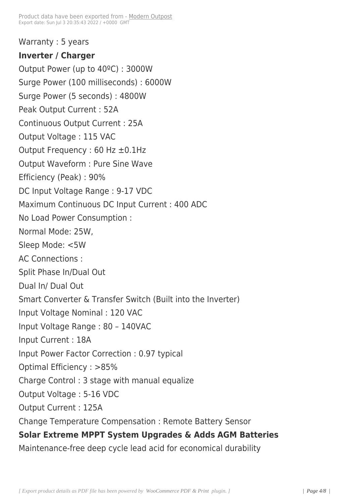Warranty : 5 years **Inverter / Charger** Output Power (up to 40ºC) : 3000W Surge Power (100 milliseconds) : 6000W Surge Power (5 seconds) : 4800W Peak Output Current : 52A Continuous Output Current : 25A Output Voltage : 115 VAC Output Frequency : 60 Hz ±0.1Hz Output Waveform : Pure Sine Wave Efficiency (Peak) : 90% DC Input Voltage Range : 9-17 VDC Maximum Continuous DC Input Current : 400 ADC No Load Power Consumption : Normal Mode: 25W, Sleep Mode: <5W AC Connections : Split Phase In/Dual Out Dual In/ Dual Out Smart Converter & Transfer Switch (Built into the Inverter) Input Voltage Nominal : 120 VAC Input Voltage Range : 80 – 140VAC Input Current : 18A Input Power Factor Correction : 0.97 typical Optimal Efficiency : >85% Charge Control : 3 stage with manual equalize Output Voltage : 5-16 VDC Output Current : 125A Change Temperature Compensation : Remote Battery Sensor **Solar Extreme MPPT System Upgrades & Adds AGM Batteries** Maintenance-free deep cycle lead acid for economical durability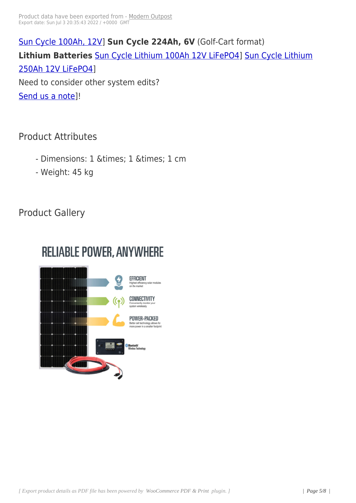## Sun Cycle 100Ah, 12V] **Sun [Cycle 224A](https://www.modernoutpost.com/?post_type=product&p=19792)h, 6V** (Golf-Cart format) **Lithium Batteries** Sun Cycle Lithium 100Ah 12V LiFePO4] Sun Cycle Lithium [250Ah 12V LiFePO4\]](https://www.modernoutpost.com/product/gp-agm-100-sun-cycle-agm-12v-solar-battery-by-go-power/) Need to consider ot[her system edits?](https://www.modernoutpost.com/product/gp-lifepo4-100-lithium-sun-cycle-battery-by-go-power/)

[Send us a note\]!](https://www.modernoutpost.com/product/gp-lifepo4-250-lithium-sun-cycle-battery-by-go-power/)

Product Attributes

- Dimensions: 1 & times; 1 & times; 1 cm
- Weight: 45 kg

## Product Gallery



# **RELIABLE POWER, ANYWHERE**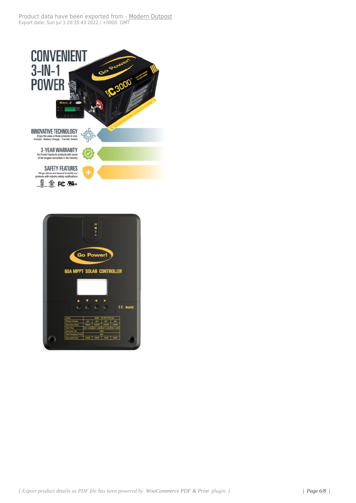

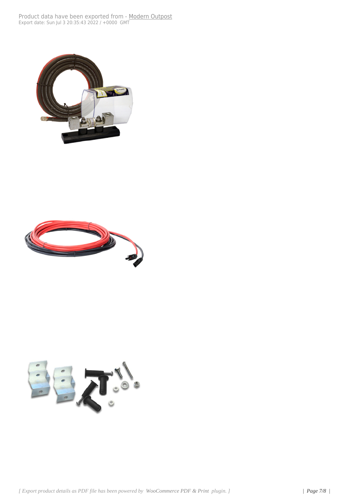